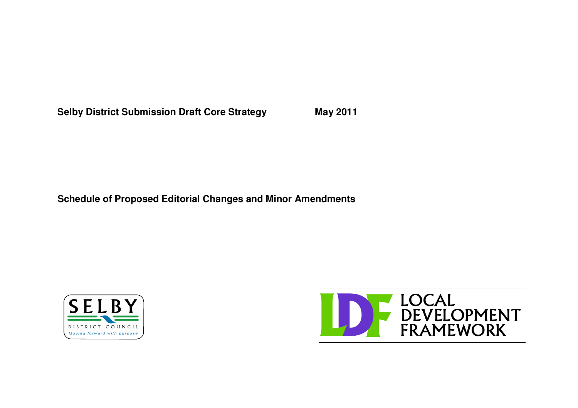**Selby District Submission Draft Core Strategy May 2011**

**Schedule of Proposed Editorial Changes and Minor Amendments**



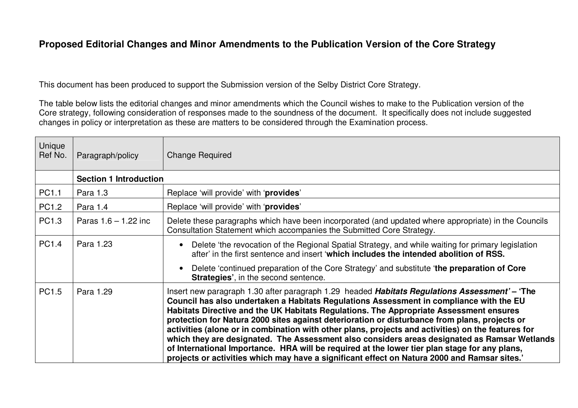## **Proposed Editorial Changes and Minor Amendments to the Publication Version of the Core Strategy**

This document has been produced to support the Submission version of the Selby District Core Strategy.

The table below lists the editorial changes and minor amendments which the Council wishes to make to the Publication version of the Core strategy, following consideration of responses made to the soundness of the document. It specifically does not include suggested changes in policy or interpretation as these are matters to be considered through the Examination process.

| Unique<br>Ref No. | Paragraph/policy              | <b>Change Required</b>                                                                                                                                                                                                                                                                                                                                                                                                                                                                                                                                                                                                                                                                                                                                                                     |  |
|-------------------|-------------------------------|--------------------------------------------------------------------------------------------------------------------------------------------------------------------------------------------------------------------------------------------------------------------------------------------------------------------------------------------------------------------------------------------------------------------------------------------------------------------------------------------------------------------------------------------------------------------------------------------------------------------------------------------------------------------------------------------------------------------------------------------------------------------------------------------|--|
|                   | <b>Section 1 Introduction</b> |                                                                                                                                                                                                                                                                                                                                                                                                                                                                                                                                                                                                                                                                                                                                                                                            |  |
| PC1.1             | Para 1.3                      | Replace 'will provide' with 'provides'                                                                                                                                                                                                                                                                                                                                                                                                                                                                                                                                                                                                                                                                                                                                                     |  |
| <b>PC1.2</b>      | Para 1.4                      | Replace 'will provide' with 'provides'                                                                                                                                                                                                                                                                                                                                                                                                                                                                                                                                                                                                                                                                                                                                                     |  |
| PC1.3             | Paras $1.6 - 1.22$ inc        | Delete these paragraphs which have been incorporated (and updated where appropriate) in the Councils<br>Consultation Statement which accompanies the Submitted Core Strategy.                                                                                                                                                                                                                                                                                                                                                                                                                                                                                                                                                                                                              |  |
| PC1.4             | Para 1.23                     | Delete 'the revocation of the Regional Spatial Strategy, and while waiting for primary legislation<br>after' in the first sentence and insert 'which includes the intended abolition of RSS.<br>Delete 'continued preparation of the Core Strategy' and substitute 'the preparation of Core<br><b>Strategies', in the second sentence.</b>                                                                                                                                                                                                                                                                                                                                                                                                                                                 |  |
| PC1.5             | Para 1.29                     | Insert new paragraph 1.30 after paragraph 1.29 headed Habitats Regulations Assessment' - 'The<br>Council has also undertaken a Habitats Regulations Assessment in compliance with the EU<br>Habitats Directive and the UK Habitats Regulations. The Appropriate Assessment ensures<br>protection for Natura 2000 sites against deterioration or disturbance from plans, projects or<br>activities (alone or in combination with other plans, projects and activities) on the features for<br>which they are designated. The Assessment also considers areas designated as Ramsar Wetlands<br>of International Importance. HRA will be required at the lower tier plan stage for any plans,<br>projects or activities which may have a significant effect on Natura 2000 and Ramsar sites.' |  |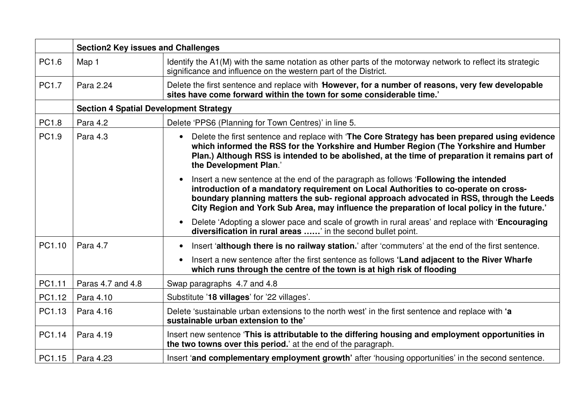|        | <b>Section2 Key issues and Challenges</b>     |                                                                                                                                                                                                                                                                                                                                                                          |  |
|--------|-----------------------------------------------|--------------------------------------------------------------------------------------------------------------------------------------------------------------------------------------------------------------------------------------------------------------------------------------------------------------------------------------------------------------------------|--|
| PC1.6  | Map 1                                         | Identify the A1(M) with the same notation as other parts of the motorway network to reflect its strategic<br>significance and influence on the western part of the District.                                                                                                                                                                                             |  |
| PC1.7  | Para 2.24                                     | Delete the first sentence and replace with However, for a number of reasons, very few developable<br>sites have come forward within the town for some considerable time.                                                                                                                                                                                                 |  |
|        | <b>Section 4 Spatial Development Strategy</b> |                                                                                                                                                                                                                                                                                                                                                                          |  |
| PC1.8  | Para 4.2                                      | Delete 'PPS6 (Planning for Town Centres)' in line 5.                                                                                                                                                                                                                                                                                                                     |  |
| PC1.9  | Para 4.3                                      | Delete the first sentence and replace with 'The Core Strategy has been prepared using evidence<br>which informed the RSS for the Yorkshire and Humber Region (The Yorkshire and Humber<br>Plan.) Although RSS is intended to be abolished, at the time of preparation it remains part of<br>the Development Plan.'                                                       |  |
|        |                                               | Insert a new sentence at the end of the paragraph as follows 'Following the intended<br>introduction of a mandatory requirement on Local Authorities to co-operate on cross-<br>boundary planning matters the sub- regional approach advocated in RSS, through the Leeds<br>City Region and York Sub Area, may influence the preparation of local policy in the future.' |  |
|        |                                               | Delete 'Adopting a slower pace and scale of growth in rural areas' and replace with 'Encouraging<br>diversification in rural areas ' in the second bullet point.                                                                                                                                                                                                         |  |
| PC1.10 | Para 4.7                                      | Insert 'although there is no railway station.' after 'commuters' at the end of the first sentence.                                                                                                                                                                                                                                                                       |  |
|        |                                               | Insert a new sentence after the first sentence as follows 'Land adjacent to the River Wharfe<br>which runs through the centre of the town is at high risk of flooding                                                                                                                                                                                                    |  |
| PC1.11 | Paras 4.7 and 4.8                             | Swap paragraphs 4.7 and 4.8                                                                                                                                                                                                                                                                                                                                              |  |
| PC1.12 | Para 4.10                                     | Substitute '18 villages' for '22 villages'.                                                                                                                                                                                                                                                                                                                              |  |
| PC1.13 | Para 4.16                                     | Delete 'sustainable urban extensions to the north west' in the first sentence and replace with 'a<br>sustainable urban extension to the'                                                                                                                                                                                                                                 |  |
| PC1.14 | Para 4.19                                     | Insert new sentence 'This is attributable to the differing housing and employment opportunities in<br>the two towns over this period.' at the end of the paragraph.                                                                                                                                                                                                      |  |
| PC1.15 | Para 4.23                                     | Insert 'and complementary employment growth' after 'housing opportunities' in the second sentence.                                                                                                                                                                                                                                                                       |  |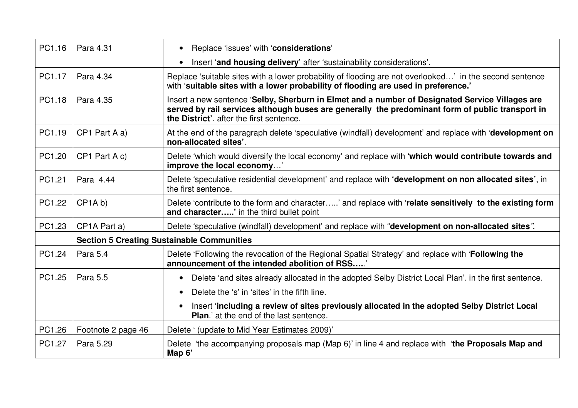| PC1.16 | Para 4.31                 | Replace 'issues' with 'considerations'<br>$\bullet$                                                                                                                                                                                             |
|--------|---------------------------|-------------------------------------------------------------------------------------------------------------------------------------------------------------------------------------------------------------------------------------------------|
|        |                           | Insert 'and housing delivery' after 'sustainability considerations'.                                                                                                                                                                            |
| PC1.17 | Para 4.34                 | Replace 'suitable sites with a lower probability of flooding are not overlooked' in the second sentence<br>with 'suitable sites with a lower probability of flooding are used in preference.'                                                   |
| PC1.18 | Para 4.35                 | Insert a new sentence 'Selby, Sherburn in Elmet and a number of Designated Service Villages are<br>served by rail services although buses are generally the predominant form of public transport in<br>the District', after the first sentence. |
| PC1.19 | CP1 Part A a)             | At the end of the paragraph delete 'speculative (windfall) development' and replace with 'development on<br>non-allocated sites'.                                                                                                               |
| PC1.20 | CP1 Part A c)             | Delete 'which would diversify the local economy' and replace with 'which would contribute towards and<br>improve the local economy'                                                                                                             |
| PC1.21 | Para 4.44                 | Delete 'speculative residential development' and replace with 'development on non allocated sites', in<br>the first sentence.                                                                                                                   |
| PC1.22 | CP1A b                    | Delete 'contribute to the form and character' and replace with 'relate sensitively to the existing form<br>and character' in the third bullet point                                                                                             |
| PC1.23 | CP <sub>1</sub> A Part a) | Delete 'speculative (windfall) development' and replace with "development on non-allocated sites".                                                                                                                                              |
|        |                           | <b>Section 5 Creating Sustainable Communities</b>                                                                                                                                                                                               |
| PC1.24 | Para 5.4                  | Delete 'Following the revocation of the Regional Spatial Strategy' and replace with 'Following the<br>announcement of the intended abolition of RSS'                                                                                            |
| PC1.25 | Para 5.5                  | Delete 'and sites already allocated in the adopted Selby District Local Plan'. in the first sentence.<br>$\bullet$                                                                                                                              |
|        |                           | Delete the 's' in 'sites' in the fifth line.<br>$\bullet$                                                                                                                                                                                       |
|        |                           | Insert 'including a review of sites previously allocated in the adopted Selby District Local<br>$\bullet$<br><b>Plan.'</b> at the end of the last sentence.                                                                                     |
| PC1.26 | Footnote 2 page 46        | Delete ' (update to Mid Year Estimates 2009)'                                                                                                                                                                                                   |
| PC1.27 | Para 5.29                 | Delete 'the accompanying proposals map (Map 6)' in line 4 and replace with 'the Proposals Map and<br>Map 6'                                                                                                                                     |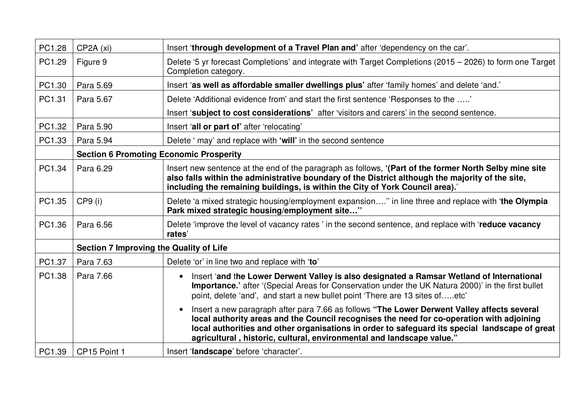| PC1.28 | CP2A (xi)                                      | Insert 'through development of a Travel Plan and' after 'dependency on the car'.                                                                                                                                                                                                                                                                                                 |
|--------|------------------------------------------------|----------------------------------------------------------------------------------------------------------------------------------------------------------------------------------------------------------------------------------------------------------------------------------------------------------------------------------------------------------------------------------|
| PC1.29 | Figure 9                                       | Delete '5 yr forecast Completions' and integrate with Target Completions (2015 – 2026) to form one Target<br>Completion category.                                                                                                                                                                                                                                                |
| PC1.30 | Para 5.69                                      | Insert 'as well as affordable smaller dwellings plus' after 'family homes' and delete 'and.'                                                                                                                                                                                                                                                                                     |
| PC1.31 | Para 5.67                                      | Delete 'Additional evidence from' and start the first sentence 'Responses to the '                                                                                                                                                                                                                                                                                               |
|        |                                                | Insert 'subject to cost considerations' after 'visitors and carers' in the second sentence.                                                                                                                                                                                                                                                                                      |
| PC1.32 | Para 5.90                                      | Insert 'all or part of' after 'relocating'                                                                                                                                                                                                                                                                                                                                       |
| PC1.33 | Para 5.94                                      | Delete ' may' and replace with 'will' in the second sentence                                                                                                                                                                                                                                                                                                                     |
|        | <b>Section 6 Promoting Economic Prosperity</b> |                                                                                                                                                                                                                                                                                                                                                                                  |
| PC1.34 | Para 6.29                                      | Insert new sentence at the end of the paragraph as follows, '(Part of the former North Selby mine site<br>also falls within the administrative boundary of the District although the majority of the site,<br>including the remaining buildings, is within the City of York Council area).'                                                                                      |
| PC1.35 | $CP9$ (i)                                      | Delete 'a mixed strategic housing/employment expansion" in line three and replace with 'the Olympia<br>Park mixed strategic housing/employment site"                                                                                                                                                                                                                             |
| PC1.36 | Para 6.56                                      | Delete 'improve the level of vacancy rates' in the second sentence, and replace with 'reduce vacancy<br>rates'                                                                                                                                                                                                                                                                   |
|        | <b>Section 7 Improving the Quality of Life</b> |                                                                                                                                                                                                                                                                                                                                                                                  |
| PC1.37 | Para 7.63                                      | Delete 'or' in line two and replace with 'to'                                                                                                                                                                                                                                                                                                                                    |
| PC1.38 | Para 7.66                                      | Insert 'and the Lower Derwent Valley is also designated a Ramsar Wetland of International<br>$\bullet$<br>Importance.' after '(Special Areas for Conservation under the UK Natura 2000)' in the first bullet<br>point, delete 'and', and start a new bullet point 'There are 13 sites ofetc'                                                                                     |
|        |                                                | Insert a new paragraph after para 7.66 as follows "The Lower Derwent Valley affects several<br>$\bullet$<br>local authority areas and the Council recognises the need for co-operation with adjoining<br>local authorities and other organisations in order to safeguard its special landscape of great<br>agricultural, historic, cultural, environmental and landscape value." |
| PC1.39 | CP15 Point 1                                   | Insert 'landscape' before 'character'.                                                                                                                                                                                                                                                                                                                                           |